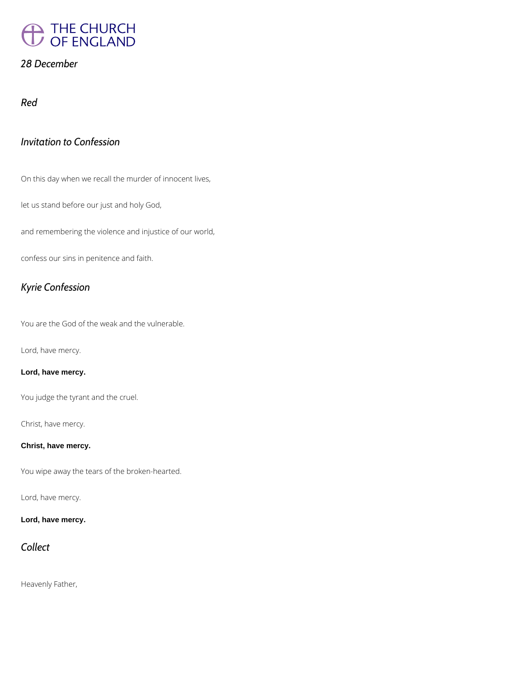

*28 December*

*Red*

# *Invitation to Confession*

On this day when we recall the murder of innocent lives,

let us stand before our just and holy God,

and remembering the violence and injustice of our world,

confess our sins in penitence and faith.

# *Kyrie Confession*

You are the God of the weak and the vulnerable.

Lord, have mercy.

### **Lord, have mercy.**

You judge the tyrant and the cruel.

Christ, have mercy.

### **Christ, have mercy.**

You wipe away the tears of the broken-hearted.

Lord, have mercy.

**Lord, have mercy.**

*Collect*

Heavenly Father,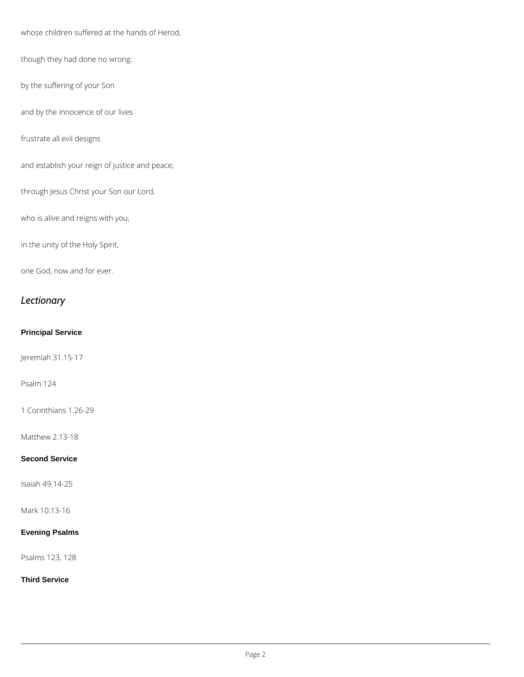whose children suffered at the hands of Herod,

though they had done no wrong:

by the suffering of your Son

and by the innocence of our lives

frustrate all evil designs

and establish your reign of justice and peace;

through Jesus Christ your Son our Lord,

who is alive and reigns with you,

in the unity of the Holy Spirit,

one God, now and for ever.

# *Lectionary*

### **Principal Service**

Jeremiah 31.15-17

Psalm 124

1 Corinthians 1.26-29

Matthew 2.13-18

#### **Second Service**

Isaiah 49.14-25

Mark 10.13-16

### **Evening Psalms**

Psalms 123, 128

**Third Service**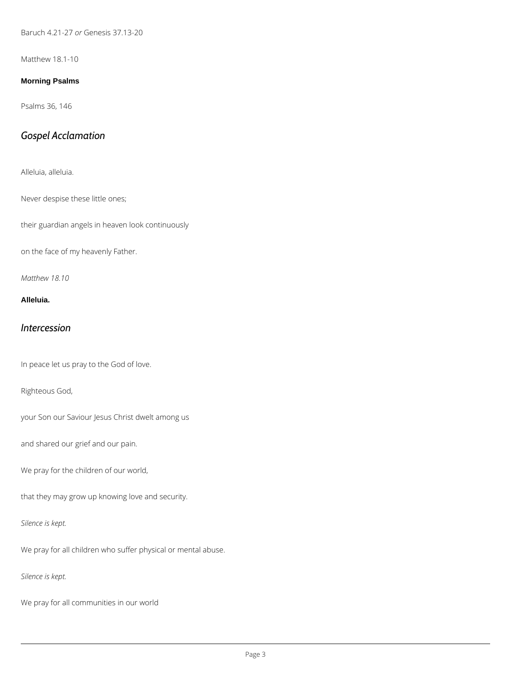Baruch 4.21-27 *or* Genesis 37.13-20

Matthew 18.1-10

#### **Morning Psalms**

Psalms 36, 146

# *Gospel Acclamation*

Alleluia, alleluia.

Never despise these little ones;

their guardian angels in heaven look continuously

on the face of my heavenly Father.

*Matthew 18.10*

#### **Alleluia.**

# *Intercession*

In peace let us pray to the God of love.

Righteous God,

your Son our Saviour Jesus Christ dwelt among us

and shared our grief and our pain.

We pray for the children of our world,

that they may grow up knowing love and security.

*Silence is kept.*

We pray for all children who suffer physical or mental abuse.

*Silence is kept.*

We pray for all communities in our world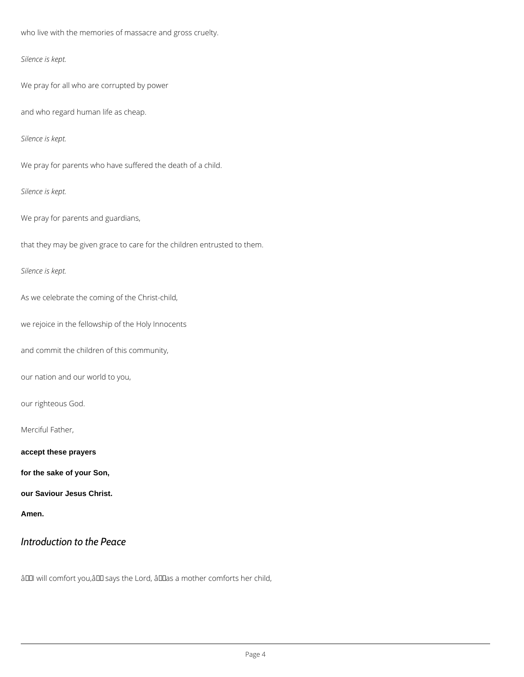who live with the memories of massacre and gross cruelty.

### *Silence is kept.*

We pray for all who are corrupted by power

and who regard human life as cheap.

*Silence is kept.*

We pray for parents who have suffered the death of a child.

*Silence is kept.*

We pray for parents and guardians,

that they may be given grace to care for the children entrusted to them.

*Silence is kept.*

As we celebrate the coming of the Christ-child,

we rejoice in the fellowship of the Holy Innocents

and commit the children of this community,

our nation and our world to you,

our righteous God.

Merciful Father,

**accept these prayers**

**for the sake of your Son,**

**our Saviour Jesus Christ.**

**Amen.**

### *Introduction to the Peace*

â DOI will comfort you, â DD says the Lord, â DD as a mother comforts her child,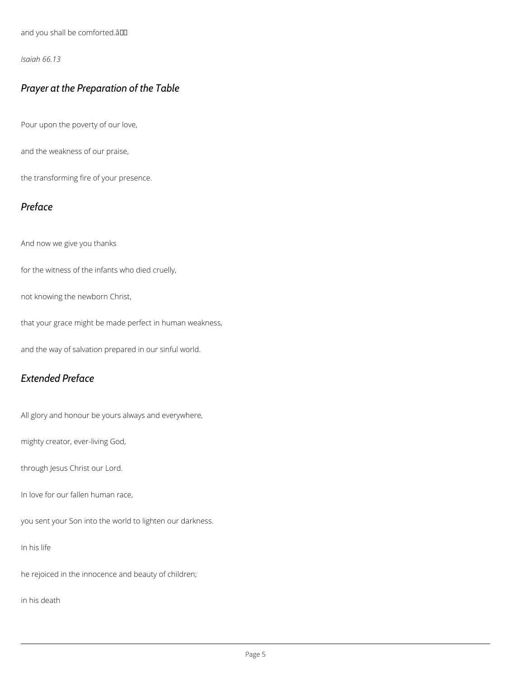and you shall be comforted.â

*Isaiah 66.13*

# *Prayer at the Preparation of the Table*

Pour upon the poverty of our love,

and the weakness of our praise,

the transforming fire of your presence.

# *Preface*

And now we give you thanks

for the witness of the infants who died cruelly,

not knowing the newborn Christ,

that your grace might be made perfect in human weakness,

and the way of salvation prepared in our sinful world.

# *Extended Preface*

All glory and honour be yours always and everywhere,

mighty creator, ever-living God,

through Jesus Christ our Lord.

In love for our fallen human race,

you sent your Son into the world to lighten our darkness.

In his life

he rejoiced in the innocence and beauty of children;

in his death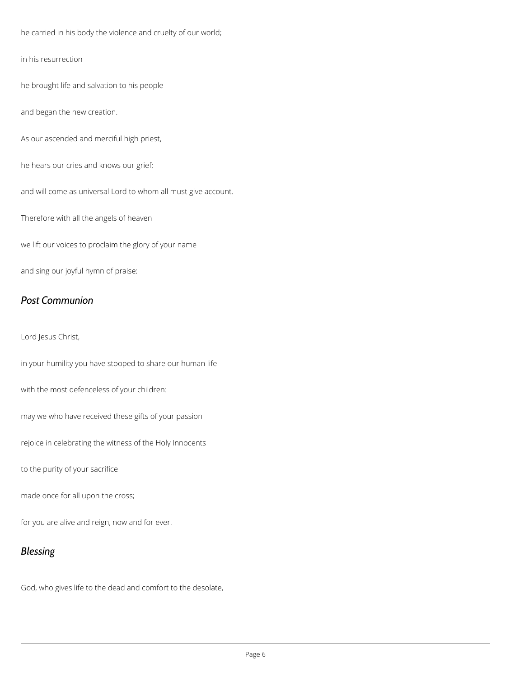he carried in his body the violence and cruelty of our world;

in his resurrection

he brought life and salvation to his people

and began the new creation.

As our ascended and merciful high priest,

he hears our cries and knows our grief;

and will come as universal Lord to whom all must give account.

Therefore with all the angels of heaven

we lift our voices to proclaim the glory of your name

and sing our joyful hymn of praise:

### *Post Communion*

Lord Jesus Christ,

in your humility you have stooped to share our human life

with the most defenceless of your children:

may we who have received these gifts of your passion

rejoice in celebrating the witness of the Holy Innocents

to the purity of your sacrifice

made once for all upon the cross;

for you are alive and reign, now and for ever.

# *Blessing*

God, who gives life to the dead and comfort to the desolate,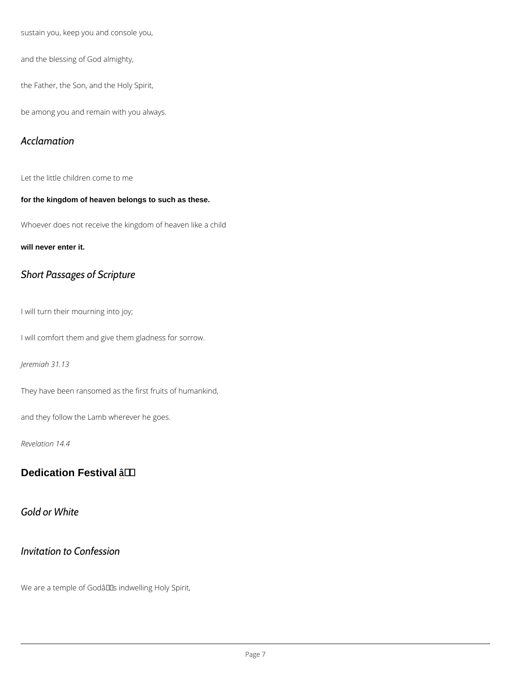sustain you, keep you and console you,

and the blessing of God almighty,

the Father, the Son, and the Holy Spirit,

be among you and remain with you always.

### Acclamation

Let the little children come to me

for the kingdom of heaven belongs to such as these.

Whoever does not receive the kingdom of heaven like a child

will never enter it.

### Short Passages of Scripture

I will turn their mourning into joy;

I will comfort them and give them gladness for sorrow.

Jeremiah 31.13

They have been ransomed as the first fruits of humankind,

and they follow the Lamb wherever he goes.

Revelation 14.4

Dedication Festival a + '

Gold or White

# Invitation to Confession

We are a temple of  $G$ odâ $\in$ <sup>TM</sup>s indwelling Holy Spirit,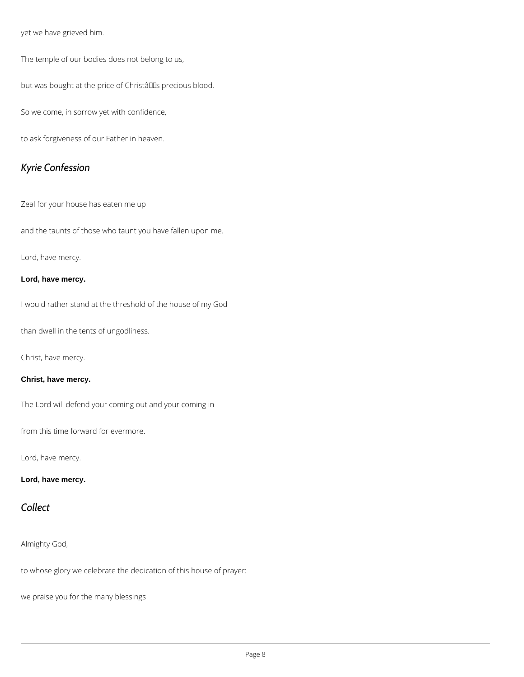yet we have grieved him.

The temple of our bodies does not belong to us,

but was bought at the price of Christâlls precious blood.

So we come, in sorrow yet with confidence,

to ask forgiveness of our Father in heaven.

### *Kyrie Confession*

Zeal for your house has eaten me up

and the taunts of those who taunt you have fallen upon me.

Lord, have mercy.

**Lord, have mercy.**

I would rather stand at the threshold of the house of my God

than dwell in the tents of ungodliness.

Christ, have mercy.

#### **Christ, have mercy.**

The Lord will defend your coming out and your coming in

from this time forward for evermore.

Lord, have mercy.

#### **Lord, have mercy.**



### Almighty God,

to whose glory we celebrate the dedication of this house of prayer:

we praise you for the many blessings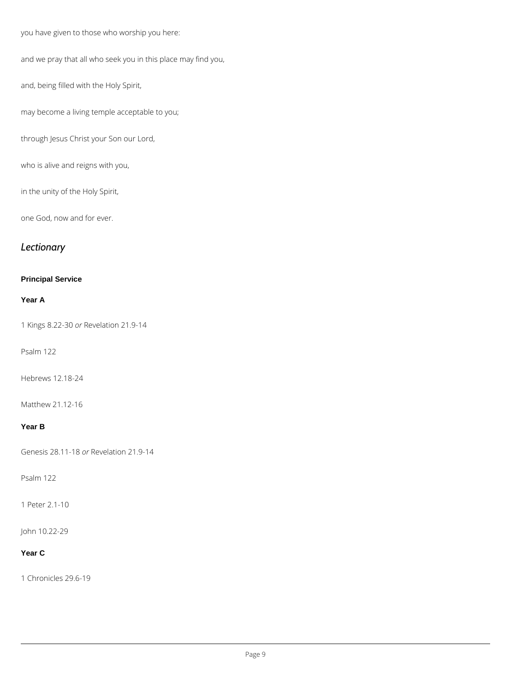you have given to those who worship you here:

and we pray that all who seek you in this place may find you,

and, being filled with the Holy Spirit,

may become a living temple acceptable to you;

through Jesus Christ your Son our Lord,

who is alive and reigns with you,

in the unity of the Holy Spirit,

one God, now and for ever.

# *Lectionary*

### **Principal Service**

#### **Year A**

1 Kings 8.22-30 *or* Revelation 21.9-14

### Psalm 122

Hebrews 12.18-24

Matthew 21.12-16

### **Year B**

Genesis 28.11-18 *or* Revelation 21.9-14

Psalm 122

1 Peter 2.1-10

John 10.22-29

**Year C**

1 Chronicles 29.6-19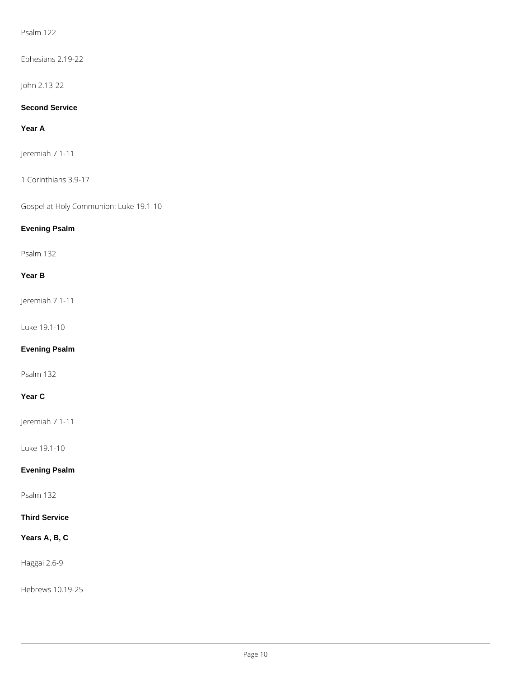Psalm 122

Ephesians 2.19-22

### John 2.13-22

### **Second Service**

### **Year A**

Jeremiah 7.1-11

1 Corinthians 3.9-17

Gospel at Holy Communion: Luke 19.1-10

### **Evening Psalm**

Psalm 132

### **Year B**

Jeremiah 7.1-11

Luke 19.1-10

### **Evening Psalm**

Psalm 132

### **Year C**

Jeremiah 7.1-11

Luke 19.1-10

### **Evening Psalm**

Psalm 132

**Third Service**

**Years A, B, C**

Haggai 2.6-9

Hebrews 10.19-25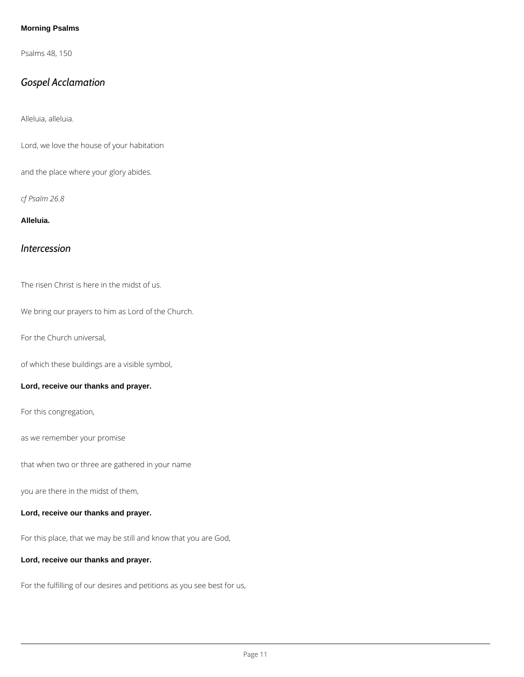### **Morning Psalms**

Psalms 48, 150

# *Gospel Acclamation*

Alleluia, alleluia.

Lord, we love the house of your habitation

and the place where your glory abides.

*cf Psalm 26.8*

**Alleluia.**

### *Intercession*

The risen Christ is here in the midst of us.

We bring our prayers to him as Lord of the Church.

For the Church universal,

of which these buildings are a visible symbol,

**Lord, receive our thanks and prayer.**

For this congregation,

as we remember your promise

that when two or three are gathered in your name

you are there in the midst of them,

#### **Lord, receive our thanks and prayer.**

For this place, that we may be still and know that you are God,

**Lord, receive our thanks and prayer.**

For the fulfilling of our desires and petitions as you see best for us,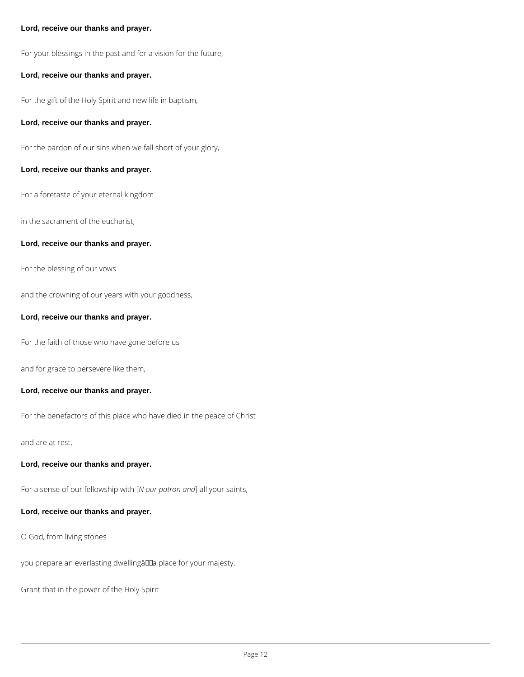#### **Lord, receive our thanks and prayer.**

For your blessings in the past and for a vision for the future,

#### **Lord, receive our thanks and prayer.**

For the gift of the Holy Spirit and new life in baptism,

#### **Lord, receive our thanks and prayer.**

For the pardon of our sins when we fall short of your glory,

#### **Lord, receive our thanks and prayer.**

For a foretaste of your eternal kingdom

in the sacrament of the eucharist,

#### **Lord, receive our thanks and prayer.**

For the blessing of our vows

and the crowning of our years with your goodness,

#### **Lord, receive our thanks and prayer.**

For the faith of those who have gone before us

and for grace to persevere like them,

#### **Lord, receive our thanks and prayer.**

For the benefactors of this place who have died in the peace of Christ

and are at rest,

#### **Lord, receive our thanks and prayer.**

For a sense of our fellowship with [*N our patron and*] all your saints,

**Lord, receive our thanks and prayer.**

O God, from living stones

you prepare an everlasting dwellingâDDa place for your majesty.

Grant that in the power of the Holy Spirit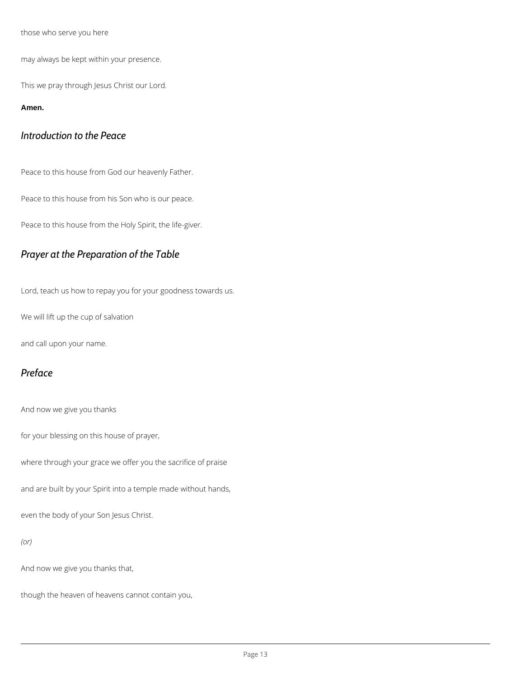those who serve you here

may always be kept within your presence.

This we pray through Jesus Christ our Lord.

#### **Amen.**

### *Introduction to the Peace*

Peace to this house from God our heavenly Father.

Peace to this house from his Son who is our peace.

Peace to this house from the Holy Spirit, the life-giver.

# *Prayer at the Preparation of the Table*

Lord, teach us how to repay you for your goodness towards us.

We will lift up the cup of salvation

and call upon your name.

# *Preface*

And now we give you thanks

for your blessing on this house of prayer,

where through your grace we offer you the sacrifice of praise

and are built by your Spirit into a temple made without hands,

even the body of your Son Jesus Christ.

*(or)*

And now we give you thanks that,

though the heaven of heavens cannot contain you,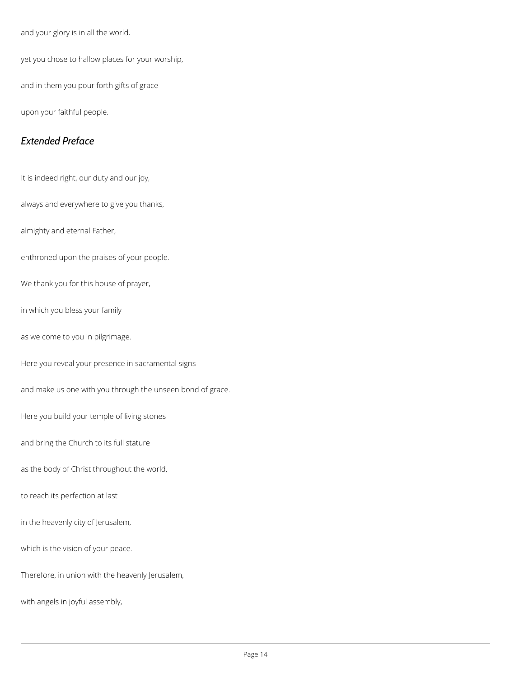and your glory is in all the world,

yet you chose to hallow places for your worship,

and in them you pour forth gifts of grace

upon your faithful people.

# *Extended Preface*

It is indeed right, our duty and our joy,

always and everywhere to give you thanks,

almighty and eternal Father,

enthroned upon the praises of your people.

We thank you for this house of prayer,

in which you bless your family

as we come to you in pilgrimage.

Here you reveal your presence in sacramental signs

and make us one with you through the unseen bond of grace.

Here you build your temple of living stones

and bring the Church to its full stature

as the body of Christ throughout the world,

to reach its perfection at last

in the heavenly city of Jerusalem,

which is the vision of your peace.

Therefore, in union with the heavenly Jerusalem,

with angels in joyful assembly,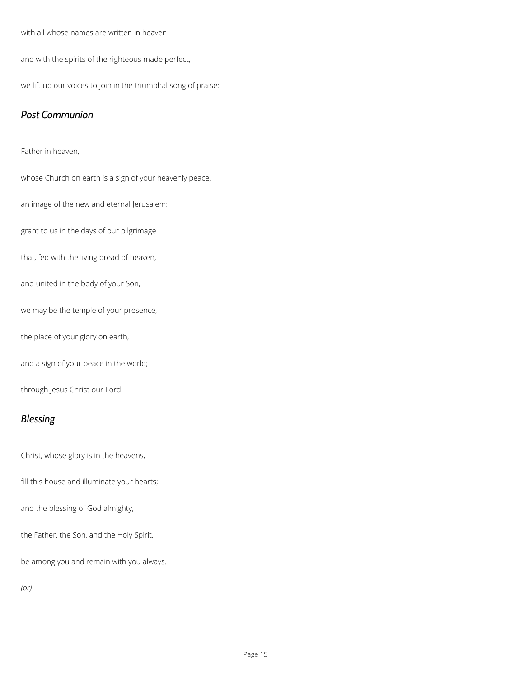with all whose names are written in heaven

and with the spirits of the righteous made perfect,

we lift up our voices to join in the triumphal song of praise:

# *Post Communion*

Father in heaven,

whose Church on earth is a sign of your heavenly peace,

an image of the new and eternal Jerusalem:

grant to us in the days of our pilgrimage

that, fed with the living bread of heaven,

and united in the body of your Son,

we may be the temple of your presence,

the place of your glory on earth,

and a sign of your peace in the world;

through Jesus Christ our Lord.

### *Blessing*

Christ, whose glory is in the heavens,

fill this house and illuminate your hearts;

and the blessing of God almighty,

the Father, the Son, and the Holy Spirit,

be among you and remain with you always.

*(or)*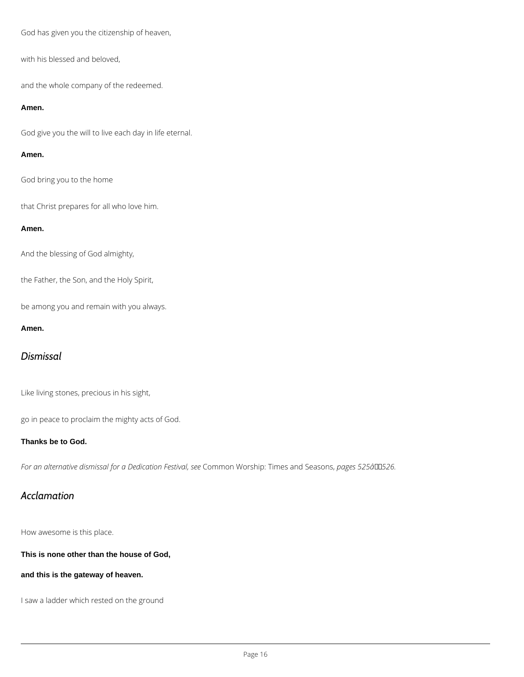God has given you the citizenship of heaven,

with his blessed and beloved,

and the whole company of the redeemed.

#### **Amen.**

God give you the will to live each day in life eternal.

### **Amen.**

God bring you to the home

that Christ prepares for all who love him.

### **Amen.**

And the blessing of God almighty,

the Father, the Son, and the Holy Spirit,

be among you and remain with you always.

### **Amen.**

# *Dismissal*

Like living stones, precious in his sight,

go in peace to proclaim the mighty acts of God.

### **Thanks be to God.**

*For an alternative dismissal for a Dedication Festival, see Common Worship: Times and Seasons, pages 525â00526.* 

# *Acclamation*

How awesome is this place.

**This is none other than the house of God,**

**and this is the gateway of heaven.**

I saw a ladder which rested on the ground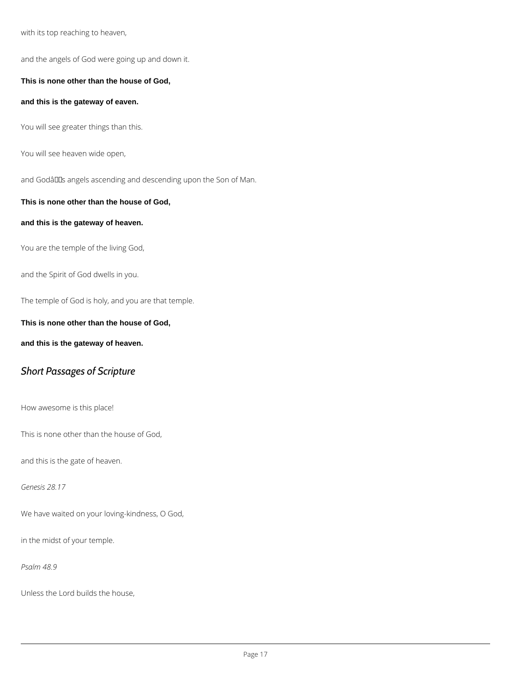with its top reaching to heaven,

and the angels of God were going up and down it.

**This is none other than the house of God,**

**and this is the gateway of eaven.**

You will see greater things than this.

You will see heaven wide open,

and Godâlls angels ascending and descending upon the Son of Man.

### **This is none other than the house of God,**

### **and this is the gateway of heaven.**

You are the temple of the living God,

and the Spirit of God dwells in you.

The temple of God is holy, and you are that temple.

**This is none other than the house of God,**

**and this is the gateway of heaven.**

### *Short Passages of Scripture*

How awesome is this place!

This is none other than the house of God,

and this is the gate of heaven.

*Genesis 28.17*

We have waited on your loving-kindness, O God,

in the midst of your temple.

*Psalm 48.9*

Unless the Lord builds the house,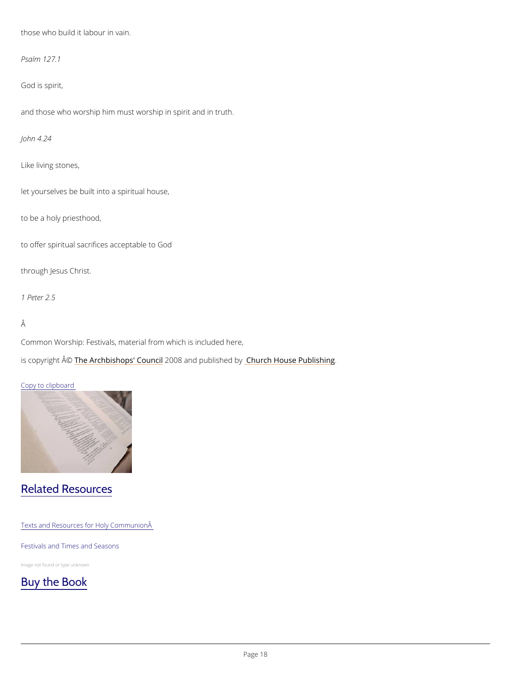those who build it labour in vain.

Psalm 127.1

God is spirit,

and those who worship him must worship in spirit and in truth.

John 4.24

Like living stones,

Common Worship: Festivals, material from which is included here, is copyright  $\hat{\mathbb{A}}$  @Archbishops' 2000 &Bn and publish held roby House Publishing

let yourselves be built into a spiritual house,

to be a holy priesthood,

to offer spiritual sacrifices acceptable to God

through Jesus Christ.

1 Peter 2.5

#### Â

Copy to clipboard

# Related Resources

Texts and Resources for Holy Communion

#### Festivals and Times and Seasons

Image not found or type unknown